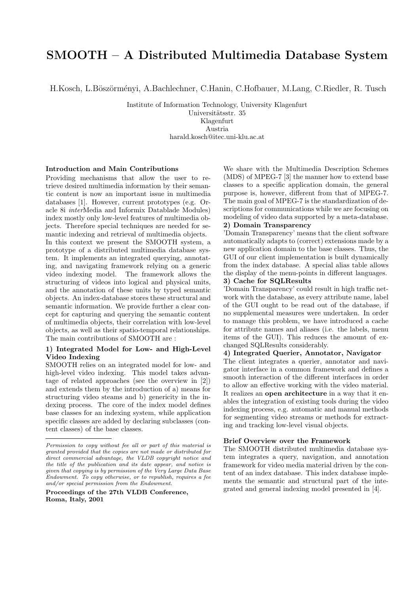# SMOOTH – A Distributed Multimedia Database System

H.Kosch, L.Böszörményi, A.Bachlechner, C.Hanin, C.Hofbauer, M.Lang, C.Riedler, R. Tusch

Institute of Information Technology, University Klagenfurt Universitätsstr. 35 Klagenfurt Austria harald.kosch@itec.uni-klu.ac.at

#### Introduction and Main Contributions

Providing mechanisms that allow the user to retrieve desired multimedia information by their semantic content is now an important issue in multimedia databases [1]. However, current prototypes (e.g. Oracle 8i interMedia and Informix Datablade Modules) index mostly only low-level features of multimedia objects. Therefore special techniques are needed for semantic indexing and retrieval of multimedia objects. In this context we present the SMOOTH system, a prototype of a distributed multimedia database system. It implements an integrated querying, annotating, and navigating framework relying on a generic video indexing model. The framework allows the structuring of videos into logical and physical units, and the annotation of these units by typed semantic objects. An index-database stores these structural and semantic information. We provide further a clear concept for capturing and querying the semantic content of multimedia objects, their correlation with low-level objects, as well as their spatio-temporal relationships. The main contributions of SMOOTH are :

## 1) Integrated Model for Low- and High-Level Video Indexing

SMOOTH relies on an integrated model for low- and high-level video indexing. This model takes advantage of related approaches (see the overview in [2]) and extends them by the introduction of a) means for structuring video steams and b) genericity in the indexing process. The core of the index model defines base classes for an indexing system, while application specific classes are added by declaring subclasses (content classes) of the base classes.

We share with the Multimedia Description Schemes (MDS) of MPEG-7 [3] the manner how to extend base classes to a specific application domain, the general purpose is, however, different from that of MPEG-7. The main goal of MPEG-7 is the standardization of descriptions for communications while we are focusing on modeling of video data supported by a meta-database. 2) Domain Transparency

'Domain Transparency' means that the client software automatically adapts to (correct) extensions made by a new application domain to the base classes. Thus, the GUI of our client implementation is built dynamically from the index database. A special alias table allows the display of the menu-points in different languages. 3) Cache for SQLResults

'Domain Transparency' could result in high traffic network with the database, as every attribute name, label of the GUI ought to be read out of the database, if no supplemental measures were undertaken. In order to manage this problem, we have introduced a cache for attribute names and aliases (i.e. the labels, menu items of the GUI). This reduces the amount of exchanged SQLResults considerably.

#### 4) Integrated Querier, Annotator, Navigator

The client integrates a querier, annotator and navigator interface in a common framework and defines a smooth interaction of the different interfaces in order to allow an effective working with the video material. It realizes an open architecture in a way that it enables the integration of existing tools during the video indexing process, e.g. automatic and manual methods for segmenting video streams or methods for extracting and tracking low-level visual objects.

#### Brief Overview over the Framework

The SMOOTH distributed multimedia database system integrates a query, navigation, and annotation framework for video media material driven by the content of an index database. This index database implements the semantic and structural part of the integrated and general indexing model presented in [4].

Permission to copy without fee all or part of this material is granted provided that the copies are not made or distributed for direct commercial advantage, the VLDB copyright notice and the title of the publication and its date appear, and notice is given that copying is by permission of the Very Large Data Base Endowment. To copy otherwise, or to republish, requires a fee and/or special permission from the Endowment.

Proceedings of the 27th VLDB Conference, Roma, Italy, 2001